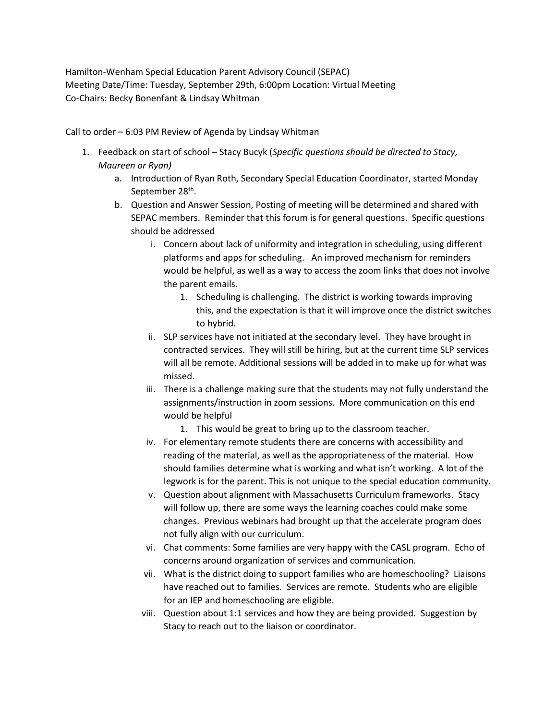Hamilton-Wenham Special Education Parent Advisory Council (SEPAC) Meeting Date/Time: Tuesday, September 29th, 6:00pm Location: Virtual Meeting Co-Chairs: Becky Bonenfant & Lindsay Whitman

Call to order – 6:03 PM Review of Agenda by Lindsay Whitman

- 1. Feedback on start of school Stacy Bucyk (*Specific questions should be directed to Stacy, Maureen or Ryan)*
	- a. Introduction of Ryan Roth, Secondary Special Education Coordinator, started Monday September 28<sup>th</sup>.
	- b. Question and Answer Session, Posting of meeting will be determined and shared with SEPAC members. Reminder that this forum is for general questions. Specific questions should be addressed
		- i. Concern about lack of uniformity and integration in scheduling, using different platforms and apps for scheduling. An improved mechanism for reminders would be helpful, as well as a way to access the zoom links that does not involve the parent emails.
			- 1. Scheduling is challenging. The district is working towards improving this, and the expectation is that it will improve once the district switches to hybrid.
		- ii. SLP services have not initiated at the secondary level. They have brought in contracted services. They will still be hiring, but at the current time SLP services will all be remote. Additional sessions will be added in to make up for what was missed.
		- iii. There is a challenge making sure that the students may not fully understand the assignments/instruction in zoom sessions. More communication on this end would be helpful
			- 1. This would be great to bring up to the classroom teacher.
		- iv. For elementary remote students there are concerns with accessibility and reading of the material, as well as the appropriateness of the material. How should families determine what is working and what isn't working. A lot of the legwork is for the parent. This is not unique to the special education community.
		- v. Question about alignment with Massachusetts Curriculum frameworks. Stacy will follow up, there are some ways the learning coaches could make some changes. Previous webinars had brought up that the accelerate program does not fully align with our curriculum.
		- vi. Chat comments: Some families are very happy with the CASL program. Echo of concerns around organization of services and communication.
		- vii. What is the district doing to support families who are homeschooling? Liaisons have reached out to families. Services are remote. Students who are eligible for an IEP and homeschooling are eligible.
		- viii. Question about 1:1 services and how they are being provided. Suggestion by Stacy to reach out to the liaison or coordinator.